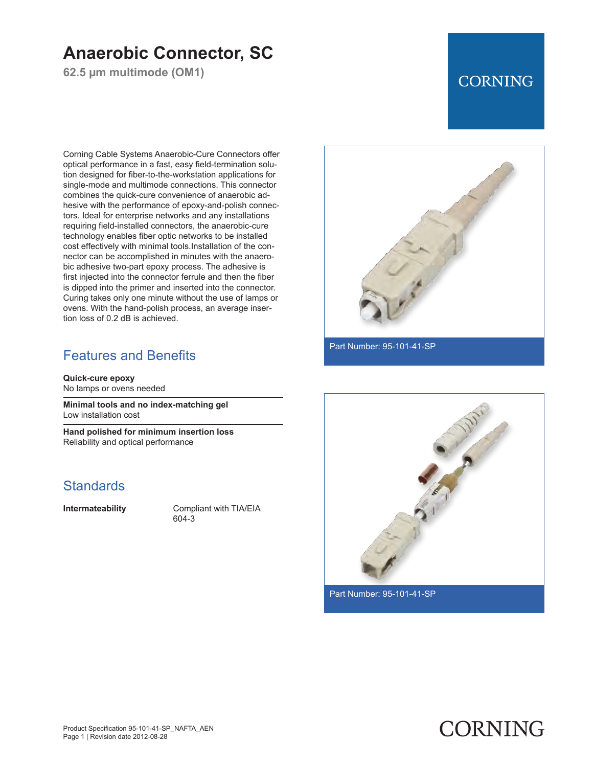## **Anaerobic Connector, SC**

**62.5 µm multimode (OM1)**

## **CORNING**

Corning Cable Systems Anaerobic-Cure Connectors offer optical performance in a fast, easy field-termination solution designed for fiber-to-the-workstation applications for single-mode and multimode connections. This connector combines the quick-cure convenience of anaerobic adhesive with the performance of epoxy-and-polish connectors. Ideal for enterprise networks and any installations requiring field-installed connectors, the anaerobic-cure technology enables fiber optic networks to be installed cost effectively with minimal tools.Installation of the connector can be accomplished in minutes with the anaerobic adhesive two-part epoxy process. The adhesive is first injected into the connector ferrule and then the fiber is dipped into the primer and inserted into the connector. Curing takes only one minute without the use of lamps or ovens. With the hand-polish process, an average insertion loss of 0.2 dB is achieved.

### Features and Benefits

**Quick-cure epoxy** No lamps or ovens needed

**Minimal tools and no index-matching gel** Low installation cost

**Hand polished for minimum insertion loss** Reliability and optical performance

#### **Standards**

**Intermateability** Compliant with TIA/EIA 604-3



Part Number: 95-101-41-SP